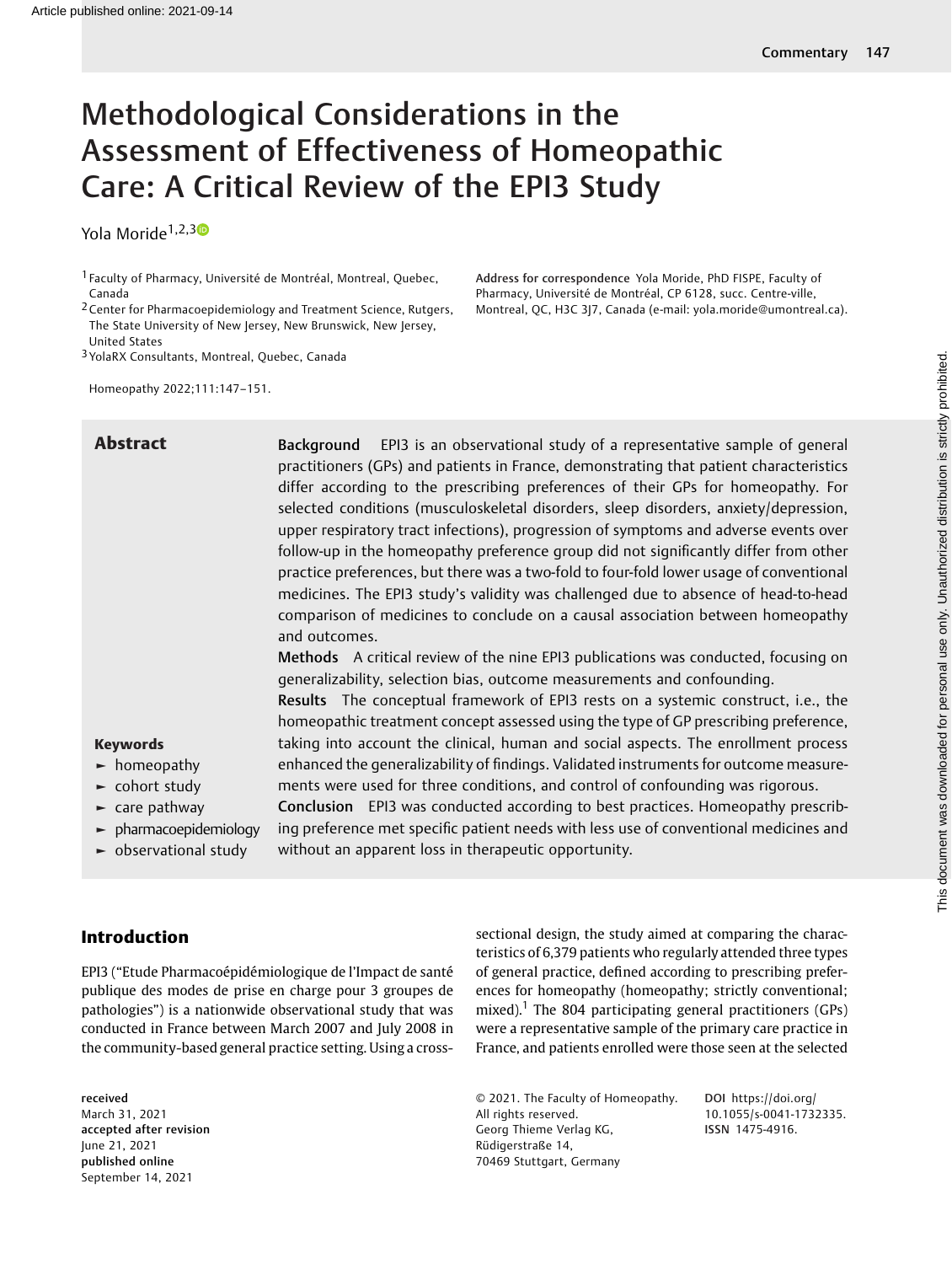# Methodological Considerations in the Assessment of Effectiveness of Homeopathic Care: A Critical Review of the EPI3 Study

Yola Moride<sup>1,2,30</sup>

3YolaRX Consultants, Montreal, Quebec, Canada

Homeopathy 2022;111:147–151.

Abstract Background EPI3 is an observational study of a representative sample of general practitioners (GPs) and patients in France, demonstrating that patient characteristics differ according to the prescribing preferences of their GPs for homeopathy. For selected conditions (musculoskeletal disorders, sleep disorders, anxiety/depression, upper respiratory tract infections), progression of symptoms and adverse events over follow-up in the homeopathy preference group did not significantly differ from other practice preferences, but there was a two-fold to four-fold lower usage of conventional medicines. The EPI3 study's validity was challenged due to absence of head-to-head comparison of medicines to conclude on a causal association between homeopathy and outcomes.

Address for correspondence Yola Moride, PhD FISPE, Faculty of Pharmacy, Université de Montréal, CP 6128, succ. Centre-ville, Montreal, QC, H3C 3J7, Canada (e-mail: [yola.moride@umontreal.ca\)](mailto:yola.moride@umontreal.ca).

Methods A critical review of the nine EPI3 publications was conducted, focusing on generalizability, selection bias, outcome measurements and confounding.

Results The conceptual framework of EPI3 rests on a systemic construct, i.e., the homeopathic treatment concept assessed using the type of GP prescribing preference, taking into account the clinical, human and social aspects. The enrollment process enhanced the generalizability of findings. Validated instruments for outcome measurements were used for three conditions, and control of confounding was rigorous.

Keywords ► homeopathy

- ► cohort study
- $\blacktriangleright$  care pathway
- ► pharmacoepidemiology
- ► observational study

Conclusion EPI3 was conducted according to best practices. Homeopathy prescribing preference met specific patient needs with less use of conventional medicines and without an apparent loss in therapeutic opportunity.

## Introduction

EPI3 ("Etude Pharmacoépidémiologique de l'Impact de santé publique des modes de prise en charge pour 3 groupes de pathologies") is a nationwide observational study that was conducted in France between March 2007 and July 2008 in the community-based general practice setting. Using a cross-

received March 31, 2021 accepted after revision June 21, 2021 published online September 14, 2021

sectional design, the study aimed at comparing the characteristics of 6,379 patients who regularly attended three types of general practice, defined according to prescribing preferences for homeopathy (homeopathy; strictly conventional; mixed).<sup>1</sup> The 804 participating general practitioners (GPs) were a representative sample of the primary care practice in France, and patients enrolled were those seen at the selected

© 2021. The Faculty of Homeopathy. All rights reserved. Georg Thieme Verlag KG, Rüdigerstraße 14, 70469 Stuttgart, Germany

DOI [https://doi.org/](https://doi.org/10.1055/s-0041-1732335) [10.1055/s-0041-1732335](https://doi.org/10.1055/s-0041-1732335). ISSN 1475-4916.

<sup>1</sup> Faculty of Pharmacy, Université de Montréal, Montreal, Quebec, Canada

<sup>2</sup>Center for Pharmacoepidemiology and Treatment Science, Rutgers, The State University of New Jersey, New Brunswick, New Jersey, United States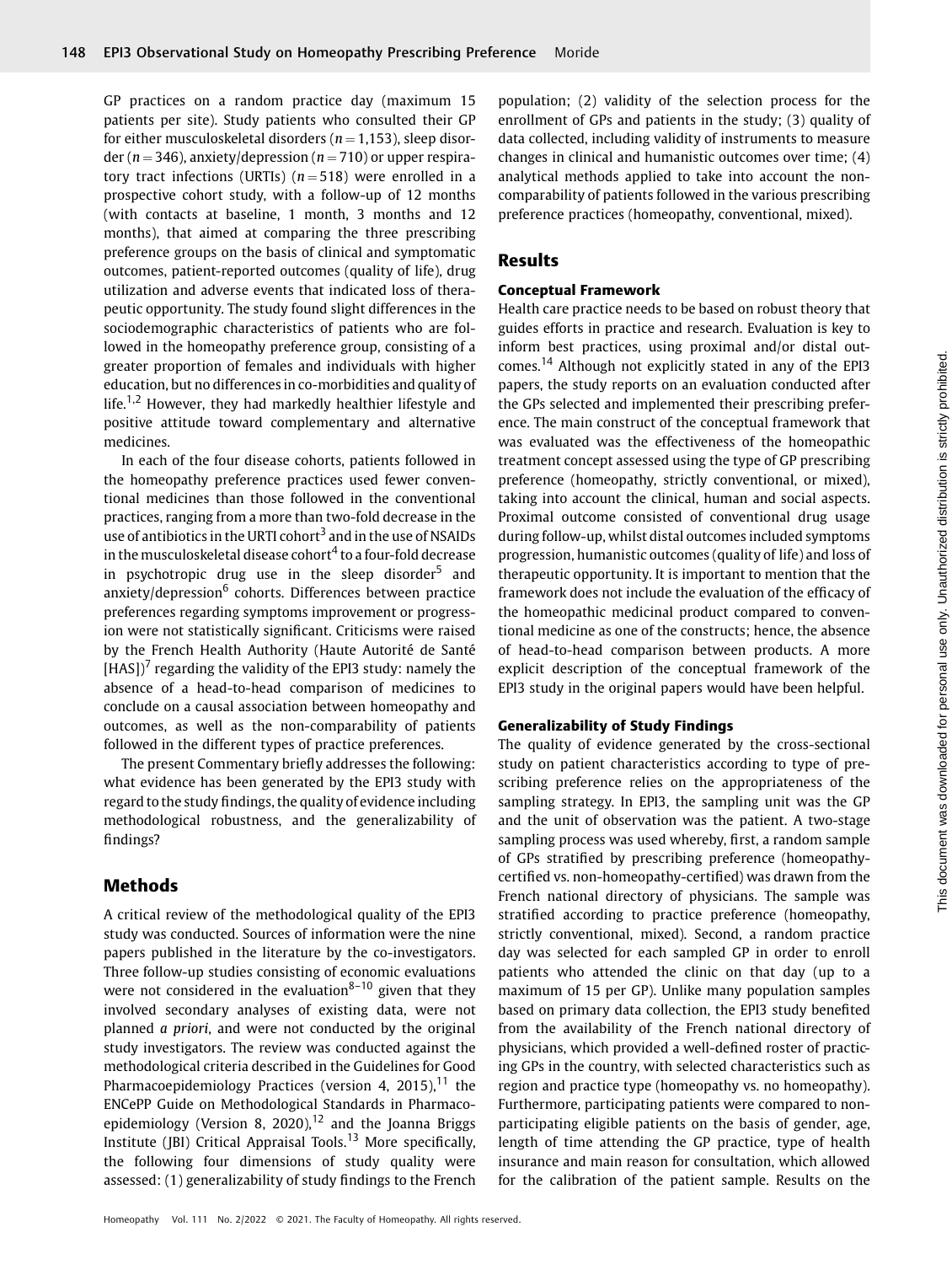GP practices on a random practice day (maximum 15 patients per site). Study patients who consulted their GP for either musculoskeletal disorders ( $n = 1,153$ ), sleep disorder ( $n = 346$ ), anxiety/depression ( $n = 710$ ) or upper respiratory tract infections (URTIs)  $(n = 518)$  were enrolled in a prospective cohort study, with a follow-up of 12 months (with contacts at baseline, 1 month, 3 months and 12 months), that aimed at comparing the three prescribing preference groups on the basis of clinical and symptomatic outcomes, patient-reported outcomes (quality of life), drug utilization and adverse events that indicated loss of therapeutic opportunity. The study found slight differences in the sociodemographic characteristics of patients who are followed in the homeopathy preference group, consisting of a greater proportion of females and individuals with higher education, but no differences in co-morbidities and quality of life.<sup>1,2</sup> However, they had markedly healthier lifestyle and positive attitude toward complementary and alternative medicines.

In each of the four disease cohorts, patients followed in the homeopathy preference practices used fewer conventional medicines than those followed in the conventional practices, ranging from a more than two-fold decrease in the use of antibiotics in the URTI cohort<sup>3</sup> and in the use of NSAIDs in the musculoskeletal disease cohort $4$  to a four-fold decrease in psychotropic drug use in the sleep disorder $5$  and anxiety/depression<sup>6</sup> cohorts. Differences between practice preferences regarding symptoms improvement or progression were not statistically significant. Criticisms were raised by the French Health Authority (Haute Autorité de Santé  $[HAS]$ <sup>7</sup> regarding the validity of the EPI3 study: namely the absence of a head-to-head comparison of medicines to conclude on a causal association between homeopathy and outcomes, as well as the non-comparability of patients followed in the different types of practice preferences.

The present Commentary briefly addresses the following: what evidence has been generated by the EPI3 study with regard to the study findings, the quality of evidence including methodological robustness, and the generalizability of findings?

# Methods

A critical review of the methodological quality of the EPI3 study was conducted. Sources of information were the nine papers published in the literature by the co-investigators. Three follow-up studies consisting of economic evaluations were not considered in the evaluation<sup>8–10</sup> given that they involved secondary analyses of existing data, were not planned a priori, and were not conducted by the original study investigators. The review was conducted against the methodological criteria described in the Guidelines for Good Pharmacoepidemiology Practices (version 4, 2015), $^{11}$  the ENCePP Guide on Methodological Standards in Pharmacoepidemiology (Version 8, 2020),<sup>12</sup> and the Joanna Briggs Institute (JBI) Critical Appraisal Tools.<sup>13</sup> More specifically, the following four dimensions of study quality were assessed: (1) generalizability of study findings to the French population; (2) validity of the selection process for the enrollment of GPs and patients in the study; (3) quality of data collected, including validity of instruments to measure changes in clinical and humanistic outcomes over time; (4) analytical methods applied to take into account the noncomparability of patients followed in the various prescribing preference practices (homeopathy, conventional, mixed).

# Results

## Conceptual Framework

Health care practice needs to be based on robust theory that guides efforts in practice and research. Evaluation is key to inform best practices, using proximal and/or distal outcomes.<sup>14</sup> Although not explicitly stated in any of the EPI3 papers, the study reports on an evaluation conducted after the GPs selected and implemented their prescribing preference. The main construct of the conceptual framework that was evaluated was the effectiveness of the homeopathic treatment concept assessed using the type of GP prescribing preference (homeopathy, strictly conventional, or mixed), taking into account the clinical, human and social aspects. Proximal outcome consisted of conventional drug usage during follow-up, whilst distal outcomes included symptoms progression, humanistic outcomes (quality of life) and loss of therapeutic opportunity. It is important to mention that the framework does not include the evaluation of the efficacy of the homeopathic medicinal product compared to conventional medicine as one of the constructs; hence, the absence of head-to-head comparison between products. A more explicit description of the conceptual framework of the EPI3 study in the original papers would have been helpful.

## Generalizability of Study Findings

The quality of evidence generated by the cross-sectional study on patient characteristics according to type of prescribing preference relies on the appropriateness of the sampling strategy. In EPI3, the sampling unit was the GP and the unit of observation was the patient. A two-stage sampling process was used whereby, first, a random sample of GPs stratified by prescribing preference (homeopathycertified vs. non-homeopathy-certified) was drawn from the French national directory of physicians. The sample was stratified according to practice preference (homeopathy, strictly conventional, mixed). Second, a random practice day was selected for each sampled GP in order to enroll patients who attended the clinic on that day (up to a maximum of 15 per GP). Unlike many population samples based on primary data collection, the EPI3 study benefited from the availability of the French national directory of physicians, which provided a well-defined roster of practicing GPs in the country, with selected characteristics such as region and practice type (homeopathy vs. no homeopathy). Furthermore, participating patients were compared to nonparticipating eligible patients on the basis of gender, age, length of time attending the GP practice, type of health insurance and main reason for consultation, which allowed for the calibration of the patient sample. Results on the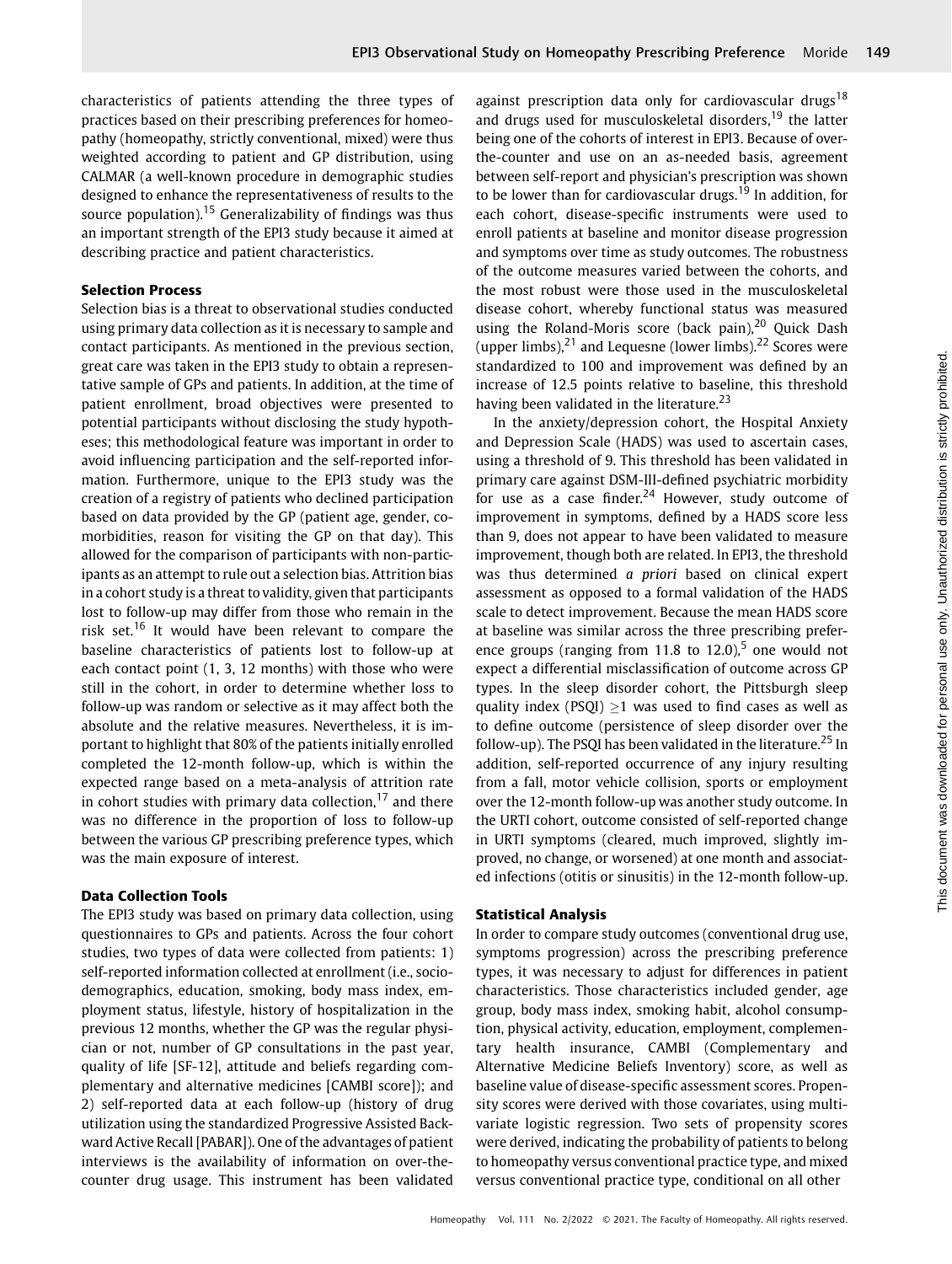characteristics of patients attending the three types of practices based on their prescribing preferences for homeopathy (homeopathy, strictly conventional, mixed) were thus weighted according to patient and GP distribution, using CALMAR (a well-known procedure in demographic studies designed to enhance the representativeness of results to the source population).<sup>15</sup> Generalizability of findings was thus an important strength of the EPI3 study because it aimed at describing practice and patient characteristics.

#### Selection Process

Selection bias is a threat to observational studies conducted using primary data collection as it is necessary to sample and contact participants. As mentioned in the previous section, great care was taken in the EPI3 study to obtain a representative sample of GPs and patients. In addition, at the time of patient enrollment, broad objectives were presented to potential participants without disclosing the study hypotheses; this methodological feature was important in order to avoid influencing participation and the self-reported information. Furthermore, unique to the EPI3 study was the creation of a registry of patients who declined participation based on data provided by the GP (patient age, gender, comorbidities, reason for visiting the GP on that day). This allowed for the comparison of participants with non-participants as an attempt to rule out a selection bias. Attrition bias in a cohort study is a threat to validity, given that participants lost to follow-up may differ from those who remain in the risk set.<sup>16</sup> It would have been relevant to compare the baseline characteristics of patients lost to follow-up at each contact point (1, 3, 12 months) with those who were still in the cohort, in order to determine whether loss to follow-up was random or selective as it may affect both the absolute and the relative measures. Nevertheless, it is important to highlight that 80% of the patients initially enrolled completed the 12-month follow-up, which is within the expected range based on a meta-analysis of attrition rate in cohort studies with primary data collection,  $17$  and there was no difference in the proportion of loss to follow-up between the various GP prescribing preference types, which was the main exposure of interest.

#### Data Collection Tools

The EPI3 study was based on primary data collection, using questionnaires to GPs and patients. Across the four cohort studies, two types of data were collected from patients: 1) self-reported information collected at enrollment (i.e., sociodemographics, education, smoking, body mass index, employment status, lifestyle, history of hospitalization in the previous 12 months, whether the GP was the regular physician or not, number of GP consultations in the past year, quality of life [SF-12], attitude and beliefs regarding complementary and alternative medicines [CAMBI score]); and 2) self-reported data at each follow-up (history of drug utilization using the standardized Progressive Assisted Backward Active Recall [PABAR]). One of the advantages of patient interviews is the availability of information on over-thecounter drug usage. This instrument has been validated against prescription data only for cardiovascular drugs<sup>18</sup> and drugs used for musculoskeletal disorders,<sup>19</sup> the latter being one of the cohorts of interest in EPI3. Because of overthe-counter and use on an as-needed basis, agreement between self-report and physician's prescription was shown to be lower than for cardiovascular drugs.<sup>19</sup> In addition, for each cohort, disease-specific instruments were used to enroll patients at baseline and monitor disease progression and symptoms over time as study outcomes. The robustness of the outcome measures varied between the cohorts, and the most robust were those used in the musculoskeletal disease cohort, whereby functional status was measured using the Roland-Moris score (back pain), $^{20}$  Quick Dash (upper limbs), $^{21}$  and Lequesne (lower limbs). $^{22}$  Scores were standardized to 100 and improvement was defined by an increase of 12.5 points relative to baseline, this threshold having been validated in the literature.<sup>23</sup>

In the anxiety/depression cohort, the Hospital Anxiety and Depression Scale (HADS) was used to ascertain cases, using a threshold of 9. This threshold has been validated in primary care against DSM-III-defined psychiatric morbidity for use as a case finder.<sup>24</sup> However, study outcome of improvement in symptoms, defined by a HADS score less than 9, does not appear to have been validated to measure improvement, though both are related. In EPI3, the threshold was thus determined a priori based on clinical expert assessment as opposed to a formal validation of the HADS scale to detect improvement. Because the mean HADS score at baseline was similar across the three prescribing preference groups (ranging from 11.8 to 12.0),<sup>5</sup> one would not expect a differential misclassification of outcome across GP types. In the sleep disorder cohort, the Pittsburgh sleep quality index (PSQI)  $\geq$ 1 was used to find cases as well as to define outcome (persistence of sleep disorder over the follow-up). The PSQI has been validated in the literature.<sup>25</sup> In addition, self-reported occurrence of any injury resulting from a fall, motor vehicle collision, sports or employment over the 12-month follow-up was another study outcome. In the URTI cohort, outcome consisted of self-reported change in URTI symptoms (cleared, much improved, slightly improved, no change, or worsened) at one month and associated infections (otitis or sinusitis) in the 12-month follow-up.

#### Statistical Analysis

In order to compare study outcomes (conventional drug use, symptoms progression) across the prescribing preference types, it was necessary to adjust for differences in patient characteristics. Those characteristics included gender, age group, body mass index, smoking habit, alcohol consumption, physical activity, education, employment, complementary health insurance, CAMBI (Complementary and Alternative Medicine Beliefs Inventory) score, as well as baseline value of disease-specific assessment scores. Propensity scores were derived with those covariates, using multivariate logistic regression. Two sets of propensity scores were derived, indicating the probability of patients to belong to homeopathy versus conventional practice type, and mixed versus conventional practice type, conditional on all other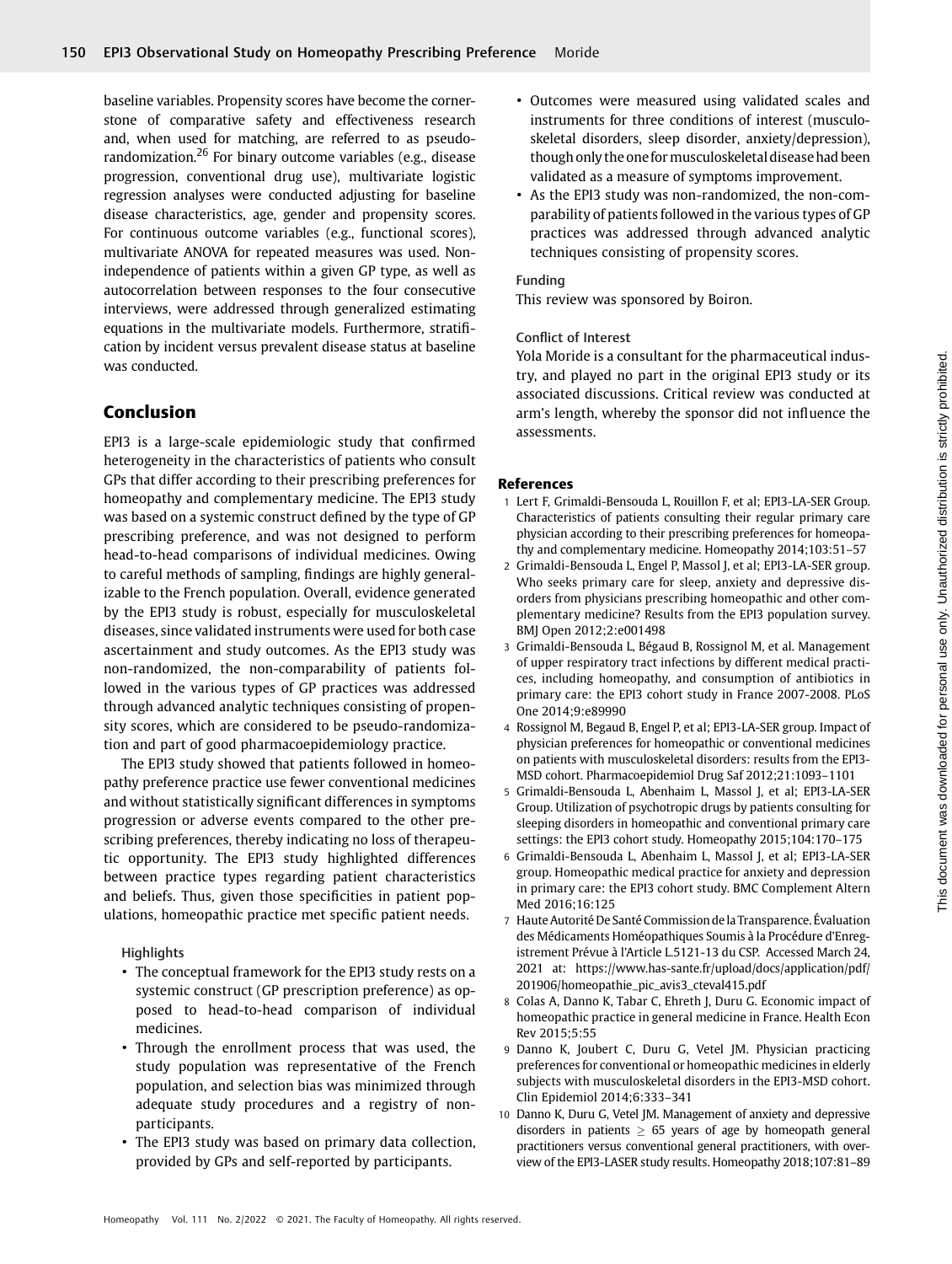baseline variables. Propensity scores have become the cornerstone of comparative safety and effectiveness research and, when used for matching, are referred to as pseudorandomization.<sup>26</sup> For binary outcome variables (e.g., disease progression, conventional drug use), multivariate logistic regression analyses were conducted adjusting for baseline disease characteristics, age, gender and propensity scores. For continuous outcome variables (e.g., functional scores), multivariate ANOVA for repeated measures was used. Nonindependence of patients within a given GP type, as well as autocorrelation between responses to the four consecutive interviews, were addressed through generalized estimating equations in the multivariate models. Furthermore, stratification by incident versus prevalent disease status at baseline was conducted.

# Conclusion

EPI3 is a large-scale epidemiologic study that confirmed heterogeneity in the characteristics of patients who consult GPs that differ according to their prescribing preferences for homeopathy and complementary medicine. The EPI3 study was based on a systemic construct defined by the type of GP prescribing preference, and was not designed to perform head-to-head comparisons of individual medicines. Owing to careful methods of sampling, findings are highly generalizable to the French population. Overall, evidence generated by the EPI3 study is robust, especially for musculoskeletal diseases, since validated instruments were used for both case ascertainment and study outcomes. As the EPI3 study was non-randomized, the non-comparability of patients followed in the various types of GP practices was addressed through advanced analytic techniques consisting of propensity scores, which are considered to be pseudo-randomization and part of good pharmacoepidemiology practice.

The EPI3 study showed that patients followed in homeopathy preference practice use fewer conventional medicines and without statistically significant differences in symptoms progression or adverse events compared to the other prescribing preferences, thereby indicating no loss of therapeutic opportunity. The EPI3 study highlighted differences between practice types regarding patient characteristics and beliefs. Thus, given those specificities in patient populations, homeopathic practice met specific patient needs.

**Highlights** 

- The conceptual framework for the EPI3 study rests on a systemic construct (GP prescription preference) as opposed to head-to-head comparison of individual medicines.
- Through the enrollment process that was used, the study population was representative of the French population, and selection bias was minimized through adequate study procedures and a registry of nonparticipants.
- The EPI3 study was based on primary data collection, provided by GPs and self-reported by participants.
- Outcomes were measured using validated scales and instruments for three conditions of interest (musculoskeletal disorders, sleep disorder, anxiety/depression), though only the one for musculoskeletal disease had been validated as a measure of symptoms improvement.
- As the EPI3 study was non-randomized, the non-comparability of patients followed in the various types of GP practices was addressed through advanced analytic techniques consisting of propensity scores.

## Funding

This review was sponsored by Boiron.

## Conflict of Interest

Yola Moride is a consultant for the pharmaceutical industry, and played no part in the original EPI3 study or its associated discussions. Critical review was conducted at arm's length, whereby the sponsor did not influence the assessments.

## References

- 1 Lert F, Grimaldi-Bensouda L, Rouillon F, et al; EPI3-LA-SER Group. Characteristics of patients consulting their regular primary care physician according to their prescribing preferences for homeopathy and complementary medicine. Homeopathy 2014;103:51–57
- 2 Grimaldi-Bensouda L, Engel P, Massol J, et al; EPI3-LA-SER group. Who seeks primary care for sleep, anxiety and depressive disorders from physicians prescribing homeopathic and other complementary medicine? Results from the EPI3 population survey. BMJ Open 2012;2:e001498
- 3 Grimaldi-Bensouda L, Bégaud B, Rossignol M, et al. Management of upper respiratory tract infections by different medical practices, including homeopathy, and consumption of antibiotics in primary care: the EPI3 cohort study in France 2007-2008. PLoS One 2014;9:e89990
- 4 Rossignol M, Begaud B, Engel P, et al; EPI3-LA-SER group. Impact of physician preferences for homeopathic or conventional medicines on patients with musculoskeletal disorders: results from the EPI3- MSD cohort. Pharmacoepidemiol Drug Saf 2012;21:1093–1101
- 5 Grimaldi-Bensouda L, Abenhaim L, Massol J, et al; EPI3-LA-SER Group. Utilization of psychotropic drugs by patients consulting for sleeping disorders in homeopathic and conventional primary care settings: the EPI3 cohort study. Homeopathy 2015;104:170–175
- 6 Grimaldi-Bensouda L, Abenhaim L, Massol J, et al; EPI3-LA-SER group. Homeopathic medical practice for anxiety and depression in primary care: the EPI3 cohort study. BMC Complement Altern Med 2016;16:125
- 7 Haute Autorité De Santé Commission dela Transparence. Évaluation des Médicaments Homéopathiques Soumis à la Procédure d'Enregistrement Prévue à l'Article L.5121-13 du CSP. Accessed March 24, 2021 at: [https://www.has-sante.fr/upload/docs/application/pdf/](https://www.has-sante.fr/upload/docs/application/pdf/201906/homeopathie_pic_avis3_cteval415.pdf) [201906/homeopathie\\_pic\\_avis3\\_cteval415.pdf](https://www.has-sante.fr/upload/docs/application/pdf/201906/homeopathie_pic_avis3_cteval415.pdf)
- 8 Colas A, Danno K, Tabar C, Ehreth J, Duru G. Economic impact of homeopathic practice in general medicine in France. Health Econ Rev 2015;5:55
- 9 Danno K, Joubert C, Duru G, Vetel JM. Physician practicing preferences for conventional or homeopathic medicines in elderly subjects with musculoskeletal disorders in the EPI3-MSD cohort. Clin Epidemiol 2014;6:333–341
- 10 Danno K, Duru G, Vetel JM. Management of anxiety and depressive disorders in patients  $\geq 65$  years of age by homeopath general practitioners versus conventional general practitioners, with overview of the EPI3-LASER study results. Homeopathy 2018;107:81–89